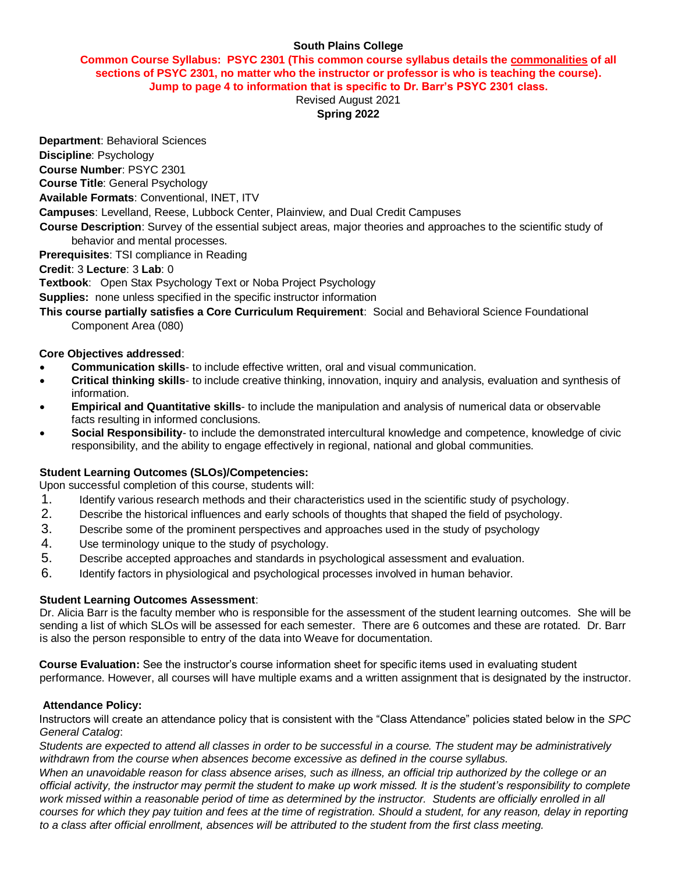#### **South Plains College**

#### **Common Course Syllabus: PSYC 2301 (This common course syllabus details the commonalities of all sections of PSYC 2301, no matter who the instructor or professor is who is teaching the course). Jump to page 4 to information that is specific to Dr. Barr's PSYC 2301 class.**

Revised August 2021 **Spring 2022**

**Department**: Behavioral Sciences

**Discipline**: Psychology

**Course Number**: PSYC 2301

**Course Title**: General Psychology

**Available Formats**: Conventional, INET, ITV

**Campuses**: Levelland, Reese, Lubbock Center, Plainview, and Dual Credit Campuses

**Course Description**: Survey of the essential subject areas, major theories and approaches to the scientific study of behavior and mental processes.

**Prerequisites**: TSI compliance in Reading

#### **Credit**: 3 **Lecture**: 3 **Lab**: 0

**Textbook**: Open Stax Psychology Text or Noba Project Psychology

**Supplies:** none unless specified in the specific instructor information

**This course partially satisfies a Core Curriculum Requirement**: Social and Behavioral Science Foundational Component Area (080)

#### **Core Objectives addressed**:

- **Communication skills** to include effective written, oral and visual communication.
- **Critical thinking skills** to include creative thinking, innovation, inquiry and analysis, evaluation and synthesis of information.
- **Empirical and Quantitative skills** to include the manipulation and analysis of numerical data or observable facts resulting in informed conclusions.
- **Social Responsibility** to include the demonstrated intercultural knowledge and competence, knowledge of civic responsibility, and the ability to engage effectively in regional, national and global communities.

#### **Student Learning Outcomes (SLOs)/Competencies:**

Upon successful completion of this course, students will:

- 1. Identify various research methods and their characteristics used in the scientific study of psychology.
- 2. Describe the historical influences and early schools of thoughts that shaped the field of psychology.
- 3. Describe some of the prominent perspectives and approaches used in the study of psychology
- 4. Use terminology unique to the study of psychology.
- 5. Describe accepted approaches and standards in psychological assessment and evaluation.
- 6. Identify factors in physiological and psychological processes involved in human behavior.

#### **Student Learning Outcomes Assessment**:

Dr. Alicia Barr is the faculty member who is responsible for the assessment of the student learning outcomes. She will be sending a list of which SLOs will be assessed for each semester. There are 6 outcomes and these are rotated. Dr. Barr is also the person responsible to entry of the data into Weave for documentation.

**Course Evaluation:** See the instructor's course information sheet for specific items used in evaluating student performance. However, all courses will have multiple exams and a written assignment that is designated by the instructor.

#### **Attendance Policy:**

Instructors will create an attendance policy that is consistent with the "Class Attendance" policies stated below in the *SPC General Catalog*:

*Students are expected to attend all classes in order to be successful in a course. The student may be administratively withdrawn from the course when absences become excessive as defined in the course syllabus.*

*When an unavoidable reason for class absence arises, such as illness, an official trip authorized by the college or an official activity, the instructor may permit the student to make up work missed. It is the student's responsibility to complete*  work missed within a reasonable period of time as determined by the instructor. Students are officially enrolled in all *courses for which they pay tuition and fees at the time of registration. Should a student, for any reason, delay in reporting to a class after official enrollment, absences will be attributed to the student from the first class meeting.*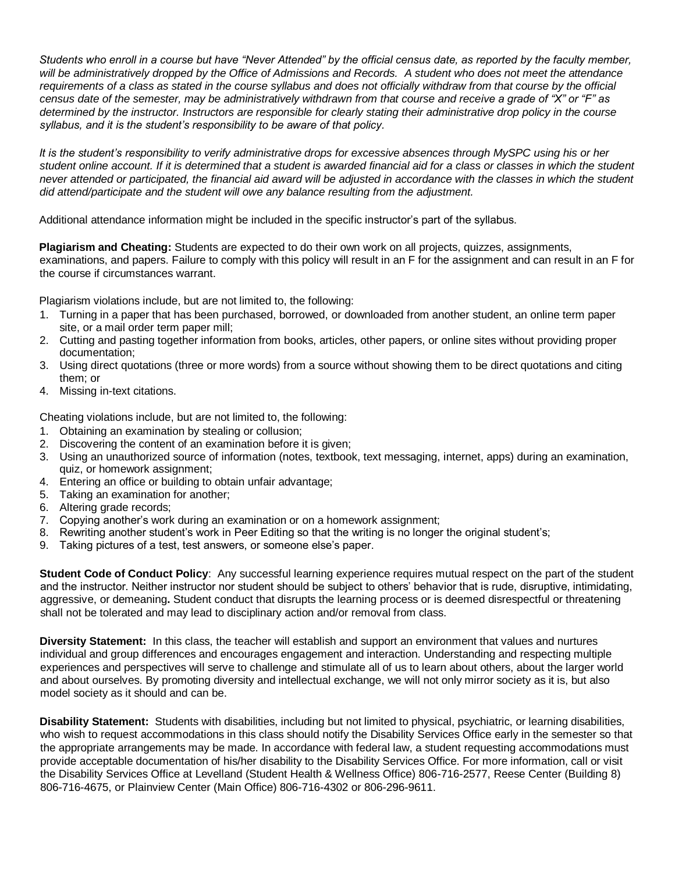*Students who enroll in a course but have "Never Attended" by the official census date, as reported by the faculty member, will be administratively dropped by the Office of Admissions and Records. A student who does not meet the attendance requirements of a class as stated in the course syllabus and does not officially withdraw from that course by the official census date of the semester, may be administratively withdrawn from that course and receive a grade of "X" or "F" as determined by the instructor. Instructors are responsible for clearly stating their administrative drop policy in the course syllabus, and it is the student's responsibility to be aware of that policy.* 

*It is the student's responsibility to verify administrative drops for excessive absences through MySPC using his or her student online account. If it is determined that a student is awarded financial aid for a class or classes in which the student never attended or participated, the financial aid award will be adjusted in accordance with the classes in which the student did attend/participate and the student will owe any balance resulting from the adjustment.*

Additional attendance information might be included in the specific instructor's part of the syllabus.

**Plagiarism and Cheating:** Students are expected to do their own work on all projects, quizzes, assignments, examinations, and papers. Failure to comply with this policy will result in an F for the assignment and can result in an F for the course if circumstances warrant.

Plagiarism violations include, but are not limited to, the following:

- 1. Turning in a paper that has been purchased, borrowed, or downloaded from another student, an online term paper site, or a mail order term paper mill;
- 2. Cutting and pasting together information from books, articles, other papers, or online sites without providing proper documentation;
- 3. Using direct quotations (three or more words) from a source without showing them to be direct quotations and citing them; or
- 4. Missing in-text citations.

Cheating violations include, but are not limited to, the following:

- 1. Obtaining an examination by stealing or collusion;
- 2. Discovering the content of an examination before it is given;
- 3. Using an unauthorized source of information (notes, textbook, text messaging, internet, apps) during an examination, quiz, or homework assignment;
- 4. Entering an office or building to obtain unfair advantage;
- 5. Taking an examination for another;
- 6. Altering grade records;
- 7. Copying another's work during an examination or on a homework assignment;
- 8. Rewriting another student's work in Peer Editing so that the writing is no longer the original student's;
- 9. Taking pictures of a test, test answers, or someone else's paper.

**Student Code of Conduct Policy**: Any successful learning experience requires mutual respect on the part of the student and the instructor. Neither instructor nor student should be subject to others' behavior that is rude, disruptive, intimidating, aggressive, or demeaning**.** Student conduct that disrupts the learning process or is deemed disrespectful or threatening shall not be tolerated and may lead to disciplinary action and/or removal from class.

**Diversity Statement:** In this class, the teacher will establish and support an environment that values and nurtures individual and group differences and encourages engagement and interaction. Understanding and respecting multiple experiences and perspectives will serve to challenge and stimulate all of us to learn about others, about the larger world and about ourselves. By promoting diversity and intellectual exchange, we will not only mirror society as it is, but also model society as it should and can be.

**Disability Statement:** Students with disabilities, including but not limited to physical, psychiatric, or learning disabilities, who wish to request accommodations in this class should notify the Disability Services Office early in the semester so that the appropriate arrangements may be made. In accordance with federal law, a student requesting accommodations must provide acceptable documentation of his/her disability to the Disability Services Office. For more information, call or visit the Disability Services Office at Levelland (Student Health & Wellness Office) 806-716-2577, Reese Center (Building 8) 806-716-4675, or Plainview Center (Main Office) 806-716-4302 or 806-296-9611.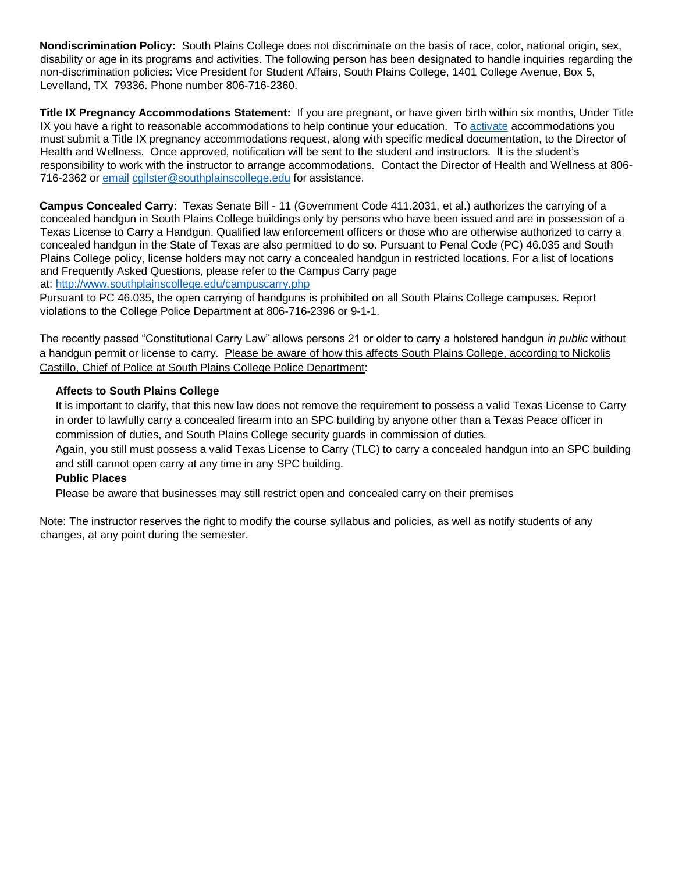**Nondiscrimination Policy:** South Plains College does not discriminate on the basis of race, color, national origin, sex, disability or age in its programs and activities. The following person has been designated to handle inquiries regarding the non-discrimination policies: Vice President for Student Affairs, South Plains College, 1401 College Avenue, Box 5, Levelland, TX 79336. Phone number 806-716-2360.

**Title IX Pregnancy Accommodations Statement:** If you are pregnant, or have given birth within six months, Under Title IX you have a right to reasonable accommodations to help continue your education. To [activate](http://www.southplainscollege.edu/employees/manualshandbooks/facultyhandbook/sec4.php) accommodations you must submit a Title IX pregnancy accommodations request, along with specific medical documentation, to the Director of Health and Wellness. Once approved, notification will be sent to the student and instructors. It is the student's responsibility to work with the instructor to arrange accommodations. Contact the Director of Health and Wellness at 806- 716-2362 or [email](http://www.southplainscollege.edu/employees/manualshandbooks/facultyhandbook/sec4.php) [cgilster@southplainscollege.edu](mailto:cgilster@southplainscollege.edu) for assistance.

**Campus Concealed Carry**: Texas Senate Bill - 11 (Government Code 411.2031, et al.) authorizes the carrying of a concealed handgun in South Plains College buildings only by persons who have been issued and are in possession of a Texas License to Carry a Handgun. Qualified law enforcement officers or those who are otherwise authorized to carry a concealed handgun in the State of Texas are also permitted to do so. Pursuant to Penal Code (PC) 46.035 and South Plains College policy, license holders may not carry a concealed handgun in restricted locations. For a list of locations and Frequently Asked Questions, please refer to the Campus Carry page

at: <http://www.southplainscollege.edu/campuscarry.php>

Pursuant to PC 46.035, the open carrying of handguns is prohibited on all South Plains College campuses. Report violations to the College Police Department at 806-716-2396 or 9-1-1.

The recently passed "Constitutional Carry Law" allows persons 21 or older to carry a holstered handgun *in public* without a handgun permit or license to carry. Please be aware of how this affects South Plains College, according to Nickolis Castillo, Chief of Police at South Plains College Police Department:

#### **Affects to South Plains College**

It is important to clarify, that this new law does not remove the requirement to possess a valid Texas License to Carry in order to lawfully carry a concealed firearm into an SPC building by anyone other than a Texas Peace officer in commission of duties, and South Plains College security guards in commission of duties.

Again, you still must possess a valid Texas License to Carry (TLC) to carry a concealed handgun into an SPC building and still cannot open carry at any time in any SPC building.

#### **Public Places**

Please be aware that businesses may still restrict open and concealed carry on their premises

Note: The instructor reserves the right to modify the course syllabus and policies, as well as notify students of any changes, at any point during the semester.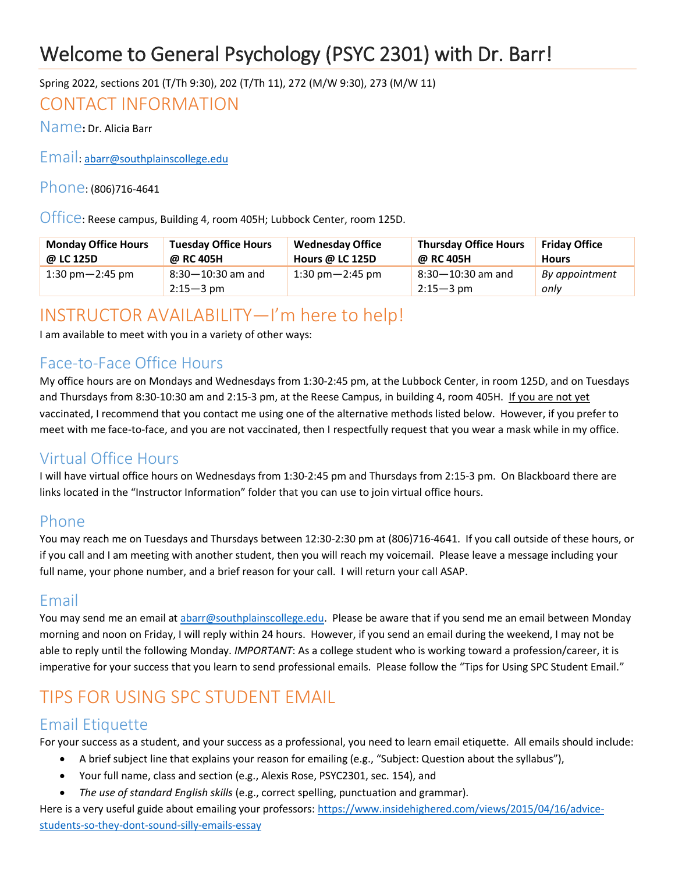# Welcome to General Psychology (PSYC 2301) with Dr. Barr!

### Spring 2022, sections 201 (T/Th 9:30), 202 (T/Th 11), 272 (M/W 9:30), 273 (M/W 11)

## CONTACT INFORMATION

Name**:** Dr. Alicia Barr

Email[: abarr@southplainscollege.edu](mailto:abarr@southplainscollege.edu)

### Phone: (806)716-4641

Office: Reese campus, Building 4, room 405H; Lubbock Center, room 125D.

| <b>Monday Office Hours</b>          | <b>Tuesday Office Hours</b>        | <b>Wednesday Office</b>             | <b>Thursday Office Hours</b>       | <b>Friday Office</b>   |
|-------------------------------------|------------------------------------|-------------------------------------|------------------------------------|------------------------|
| @ LC 125D                           | @ RC 405H                          | Hours @ LC 125D                     | @ RC 405H                          | <b>Hours</b>           |
| $1:30 \text{ pm} - 2:45 \text{ pm}$ | $8:30-10:30$ am and<br>$2:15-3$ pm | $1:30 \text{ pm} - 2:45 \text{ pm}$ | $8:30-10:30$ am and<br>$2:15-3$ pm | By appointment<br>onlv |

## INSTRUCTOR AVAILABILITY—I'm here to help!

I am available to meet with you in a variety of other ways:

## Face-to-Face Office Hours

My office hours are on Mondays and Wednesdays from 1:30-2:45 pm, at the Lubbock Center, in room 125D, and on Tuesdays and Thursdays from 8:30-10:30 am and 2:15-3 pm, at the Reese Campus, in building 4, room 405H. If you are not yet vaccinated, I recommend that you contact me using one of the alternative methods listed below. However, if you prefer to meet with me face-to-face, and you are not vaccinated, then I respectfully request that you wear a mask while in my office.

## Virtual Office Hours

I will have virtual office hours on Wednesdays from 1:30-2:45 pm and Thursdays from 2:15-3 pm. On Blackboard there are links located in the "Instructor Information" folder that you can use to join virtual office hours.

### Phone

You may reach me on Tuesdays and Thursdays between 12:30-2:30 pm at (806)716-4641. If you call outside of these hours, or if you call and I am meeting with another student, then you will reach my voicemail. Please leave a message including your full name, your phone number, and a brief reason for your call. I will return your call ASAP.

## Email

You may send me an email a[t abarr@southplainscollege.edu.](mailto:abarr@southplainscollege.edu) Please be aware that if you send me an email between Monday morning and noon on Friday, I will reply within 24 hours. However, if you send an email during the weekend, I may not be able to reply until the following Monday. *IMPORTANT*: As a college student who is working toward a profession/career, it is imperative for your success that you learn to send professional emails. Please follow the "Tips for Using SPC Student Email."

## TIPS FOR USING SPC STUDENT EMAIL

### Email Etiquette

For your success as a student, and your success as a professional, you need to learn email etiquette. All emails should include:

- A brief subject line that explains your reason for emailing (e.g., "Subject: Question about the syllabus"),
- Your full name, class and section (e.g., Alexis Rose, PSYC2301, sec. 154), and
- *The use of standard English skills* (e.g., correct spelling, punctuation and grammar).

Here is a very useful guide about emailing your professors: [https://www.insidehighered.com/views/2015/04/16/advice](https://www.insidehighered.com/views/2015/04/16/advice-students-so-they-dont-sound-silly-emails-essay)[students-so-they-dont-sound-silly-emails-essay](https://www.insidehighered.com/views/2015/04/16/advice-students-so-they-dont-sound-silly-emails-essay)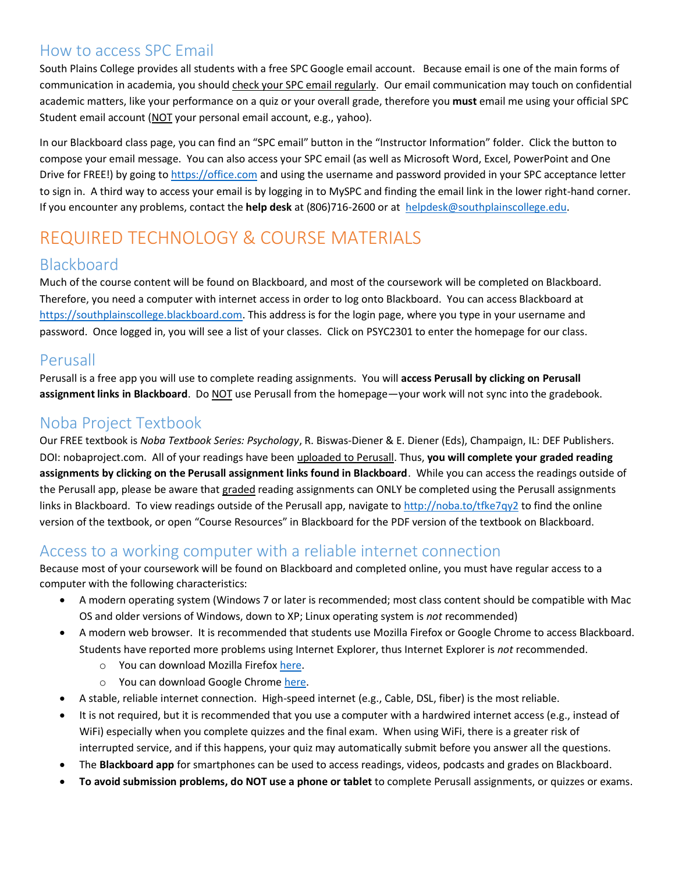### How to access SPC Email

South Plains College provides all students with a free SPC Google email account. Because email is one of the main forms of communication in academia, you should check your SPC email regularly. Our email communication may touch on confidential academic matters, like your performance on a quiz or your overall grade, therefore you **must** email me using your official SPC Student email account (NOT your personal email account, e.g., yahoo).

In our Blackboard class page, you can find an "SPC email" button in the "Instructor Information" folder. Click the button to compose your email message. You can also access your SPC email (as well as Microsoft Word, Excel, PowerPoint and One Drive for FREE!) by going to [https://office.com](https://office.com/) and using the username and password provided in your SPC acceptance letter to sign in. A third way to access your email is by logging in to MySPC and finding the email link in the lower right-hand corner. If you encounter any problems, contact the **help desk** at (806)716-2600 or at [helpdesk@southplainscollege.edu.](mailto:helpdesk@southplainscollege.edu)

## REQUIRED TECHNOLOGY & COURSE MATERIALS

## Blackboard

Much of the course content will be found on Blackboard, and most of the coursework will be completed on Blackboard. Therefore, you need a computer with internet access in order to log onto Blackboard. You can access Blackboard at [https://southplainscollege.blackboard.com.](https://southplainscollege.blackboard.com/) This address is for the login page, where you type in your username and password. Once logged in, you will see a list of your classes. Click on PSYC2301 to enter the homepage for our class.

### Perusall

Perusall is a free app you will use to complete reading assignments. You will **access Perusall by clicking on Perusall assignment links in Blackboard**. Do NOT use Perusall from the homepage—your work will not sync into the gradebook.

## Noba Project Textbook

Our FREE textbook is *Noba Textbook Series: Psychology*, R. Biswas-Diener & E. Diener (Eds), Champaign, IL: DEF Publishers. DOI: nobaproject.com. All of your readings have been uploaded to Perusall. Thus, **you will complete your graded reading assignments by clicking on the Perusall assignment links found in Blackboard**. While you can access the readings outside of the Perusall app, please be aware that graded reading assignments can ONLY be completed using the Perusall assignments links in Blackboard. To view readings outside of the Perusall app, navigate to <http://noba.to/tfke7qy2> to find the online version of the textbook, or open "Course Resources" in Blackboard for the PDF version of the textbook on Blackboard.

### Access to a working computer with a reliable internet connection

Because most of your coursework will be found on Blackboard and completed online, you must have regular access to a computer with the following characteristics:

- A modern operating system (Windows 7 or later is recommended; most class content should be compatible with Mac OS and older versions of Windows, down to XP; Linux operating system is *not* recommended)
- A modern web browser. It is recommended that students use Mozilla Firefox or Google Chrome to access Blackboard. Students have reported more problems using Internet Explorer, thus Internet Explorer is *not* recommended.
	- o You can download Mozilla Firefox [here.](https://www.mozilla.org/en-US/firefox/new/)
	- o You can download Google Chrome [here.](https://www.google.com/intl/en/chrome/browser/desktop/index.html#brand=CHMB&utm_campaign=en&utm_source=en-ha-na-us-sk&utm_medium=ha)
- A stable, reliable internet connection. High-speed internet (e.g., Cable, DSL, fiber) is the most reliable.
- It is not required, but it is recommended that you use a computer with a hardwired internet access (e.g., instead of WiFi) especially when you complete quizzes and the final exam. When using WiFi, there is a greater risk of interrupted service, and if this happens, your quiz may automatically submit before you answer all the questions.
- The **Blackboard app** for smartphones can be used to access readings, videos, podcasts and grades on Blackboard.
- **To avoid submission problems, do NOT use a phone or tablet** to complete Perusall assignments, or quizzes or exams.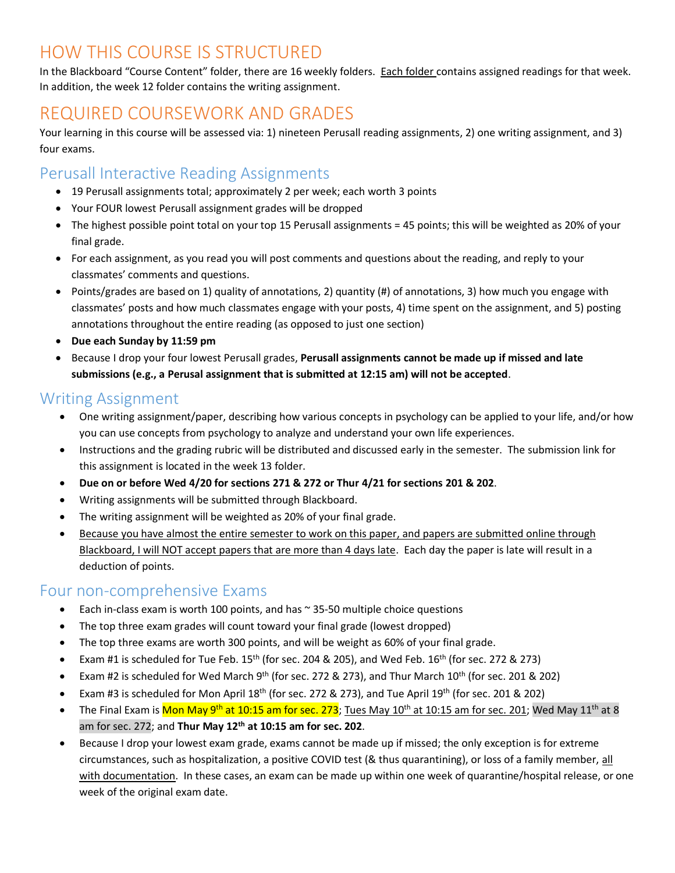## HOW THIS COURSE IS STRUCTURED

In the Blackboard "Course Content" folder, there are 16 weekly folders. Each folder contains assigned readings for that week. In addition, the week 12 folder contains the writing assignment.

## REQUIRED COURSEWORK AND GRADES

Your learning in this course will be assessed via: 1) nineteen Perusall reading assignments, 2) one writing assignment, and 3) four exams.

## Perusall Interactive Reading Assignments

- 19 Perusall assignments total; approximately 2 per week; each worth 3 points
- Your FOUR lowest Perusall assignment grades will be dropped
- The highest possible point total on your top 15 Perusall assignments = 45 points; this will be weighted as 20% of your final grade.
- For each assignment, as you read you will post comments and questions about the reading, and reply to your classmates' comments and questions.
- Points/grades are based on 1) quality of annotations, 2) quantity (#) of annotations, 3) how much you engage with classmates' posts and how much classmates engage with your posts, 4) time spent on the assignment, and 5) posting annotations throughout the entire reading (as opposed to just one section)
- **Due each Sunday by 11:59 pm**
- Because I drop your four lowest Perusall grades, **Perusall assignments cannot be made up if missed and late submissions (e.g., a Perusal assignment that is submitted at 12:15 am) will not be accepted**.

## Writing Assignment

- One writing assignment/paper, describing how various concepts in psychology can be applied to your life, and/or how you can use concepts from psychology to analyze and understand your own life experiences.
- Instructions and the grading rubric will be distributed and discussed early in the semester. The submission link for this assignment is located in the week 13 folder.
- **Due on or before Wed 4/20 for sections 271 & 272 or Thur 4/21 for sections 201 & 202**.
- Writing assignments will be submitted through Blackboard.
- The writing assignment will be weighted as 20% of your final grade.
- Because you have almost the entire semester to work on this paper, and papers are submitted online through Blackboard, I will NOT accept papers that are more than 4 days late. Each day the paper is late will result in a deduction of points.

### Four non-comprehensive Exams

- Each in-class exam is worth 100 points, and has  $\sim$  35-50 multiple choice questions
- The top three exam grades will count toward your final grade (lowest dropped)
- The top three exams are worth 300 points, and will be weight as 60% of your final grade.
- Exam #1 is scheduled for Tue Feb.  $15<sup>th</sup>$  (for sec. 204 & 205), and Wed Feb.  $16<sup>th</sup>$  (for sec. 272 & 273)
- Exam #2 is scheduled for Wed March 9th (for sec. 272 & 273), and Thur March 10th (for sec. 201 & 202)
- Exam #3 is scheduled for Mon April 18<sup>th</sup> (for sec. 272 & 273), and Tue April 19<sup>th</sup> (for sec. 201 & 202)
- The Final Exam is <mark>Mon May 9<sup>th</sup> at 10:15 am for sec. 273</mark>; <u>Tues May 10<sup>th</sup> at 10:15 am for sec. 201</u>; Wed May 11<sup>th</sup> at 8 am for sec. 272; and **Thur May 12 th at 10:15 am for sec. 202**.
- Because I drop your lowest exam grade, exams cannot be made up if missed; the only exception is for extreme circumstances, such as hospitalization, a positive COVID test (& thus quarantining), or loss of a family member, all with documentation. In these cases, an exam can be made up within one week of quarantine/hospital release, or one week of the original exam date.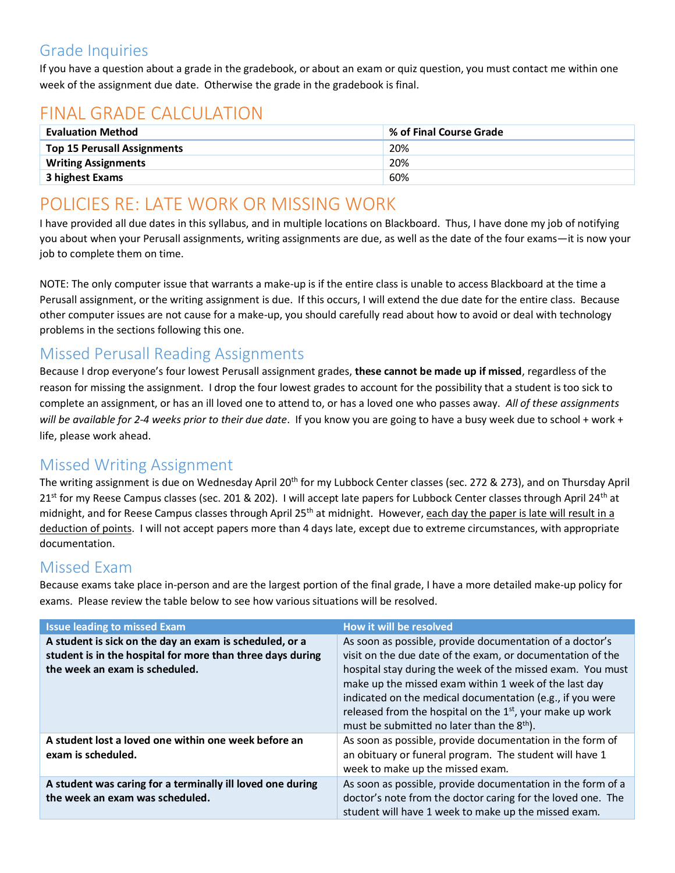## Grade Inquiries

If you have a question about a grade in the gradebook, or about an exam or quiz question, you must contact me within one week of the assignment due date. Otherwise the grade in the gradebook is final.

# FINAL GRADE CALCULATION

| <b>Evaluation Method</b>           | % of Final Course Grade |
|------------------------------------|-------------------------|
| <b>Top 15 Perusall Assignments</b> | 20%                     |
| <b>Writing Assignments</b>         | 20%                     |
| 3 highest Exams                    | 60%                     |

## POLICIES RE: LATE WORK OR MISSING WORK

I have provided all due dates in this syllabus, and in multiple locations on Blackboard. Thus, I have done my job of notifying you about when your Perusall assignments, writing assignments are due, as well as the date of the four exams—it is now your job to complete them on time.

NOTE: The only computer issue that warrants a make-up is if the entire class is unable to access Blackboard at the time a Perusall assignment, or the writing assignment is due. If this occurs, I will extend the due date for the entire class. Because other computer issues are not cause for a make-up, you should carefully read about how to avoid or deal with technology problems in the sections following this one.

## Missed Perusall Reading Assignments

Because I drop everyone's four lowest Perusall assignment grades, **these cannot be made up if missed**, regardless of the reason for missing the assignment. I drop the four lowest grades to account for the possibility that a student is too sick to complete an assignment, or has an ill loved one to attend to, or has a loved one who passes away. *All of these assignments will be available for 2-4 weeks prior to their due date*. If you know you are going to have a busy week due to school + work + life, please work ahead.

## Missed Writing Assignment

The writing assignment is due on Wednesday April 20<sup>th</sup> for my Lubbock Center classes (sec. 272 & 273), and on Thursday April 21<sup>st</sup> for my Reese Campus classes (sec. 201 & 202). I will accept late papers for Lubbock Center classes through April 24<sup>th</sup> at midnight, and for Reese Campus classes through April 25<sup>th</sup> at midnight. However, each day the paper is late will result in a deduction of points. I will not accept papers more than 4 days late, except due to extreme circumstances, with appropriate documentation.

## Missed Exam

Because exams take place in-person and are the largest portion of the final grade, I have a more detailed make-up policy for exams. Please review the table below to see how various situations will be resolved.

| <b>Issue leading to missed Exam</b>                                                                                                                     | How it will be resolved                                                                                                                                                                                                                                                                                                                                                                                                             |
|---------------------------------------------------------------------------------------------------------------------------------------------------------|-------------------------------------------------------------------------------------------------------------------------------------------------------------------------------------------------------------------------------------------------------------------------------------------------------------------------------------------------------------------------------------------------------------------------------------|
| A student is sick on the day an exam is scheduled, or a<br>student is in the hospital for more than three days during<br>the week an exam is scheduled. | As soon as possible, provide documentation of a doctor's<br>visit on the due date of the exam, or documentation of the<br>hospital stay during the week of the missed exam. You must<br>make up the missed exam within 1 week of the last day<br>indicated on the medical documentation (e.g., if you were<br>released from the hospital on the $1st$ , your make up work<br>must be submitted no later than the 8 <sup>th</sup> ). |
| A student lost a loved one within one week before an<br>exam is scheduled.                                                                              | As soon as possible, provide documentation in the form of<br>an obituary or funeral program. The student will have 1<br>week to make up the missed exam.                                                                                                                                                                                                                                                                            |
| A student was caring for a terminally ill loved one during<br>the week an exam was scheduled.                                                           | As soon as possible, provide documentation in the form of a<br>doctor's note from the doctor caring for the loved one. The<br>student will have 1 week to make up the missed exam.                                                                                                                                                                                                                                                  |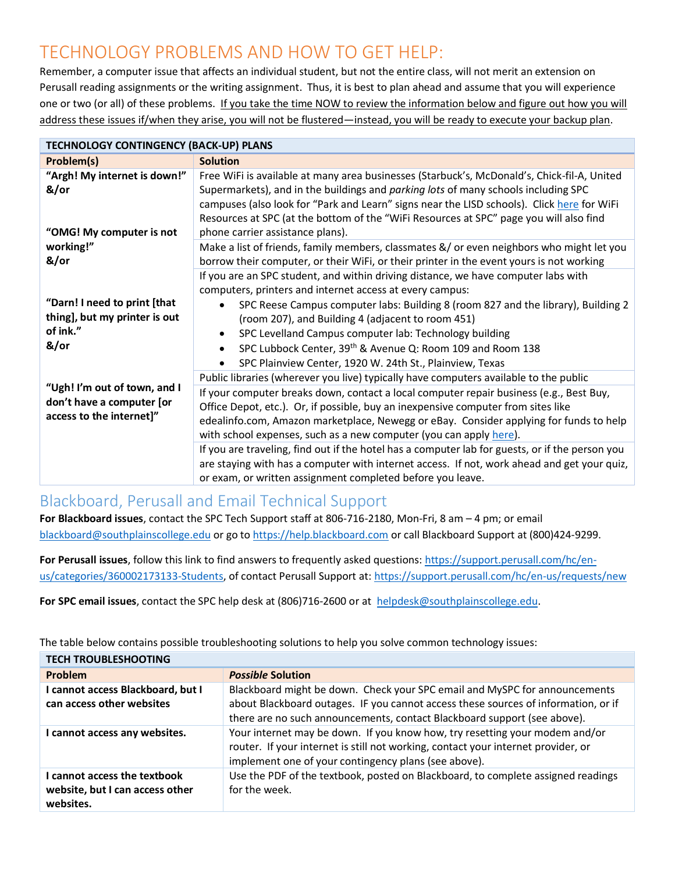## TECHNOLOGY PROBLEMS AND HOW TO GET HELP:

Remember, a computer issue that affects an individual student, but not the entire class, will not merit an extension on Perusall reading assignments or the writing assignment. Thus, it is best to plan ahead and assume that you will experience one or two (or all) of these problems. If you take the time NOW to review the information below and figure out how you will address these issues if/when they arise, you will not be flustered—instead, you will be ready to execute your backup plan.

| <b>TECHNOLOGY CONTINGENCY (BACK-UP) PLANS</b>                                         |                                                                                                                                                                                                                                                                                                                                                                                                                                                                                                                                                                                                                                                                                                       |  |  |
|---------------------------------------------------------------------------------------|-------------------------------------------------------------------------------------------------------------------------------------------------------------------------------------------------------------------------------------------------------------------------------------------------------------------------------------------------------------------------------------------------------------------------------------------------------------------------------------------------------------------------------------------------------------------------------------------------------------------------------------------------------------------------------------------------------|--|--|
| Problem(s)                                                                            | <b>Solution</b>                                                                                                                                                                                                                                                                                                                                                                                                                                                                                                                                                                                                                                                                                       |  |  |
| "Argh! My internet is down!"<br>&/or<br>"OMG! My computer is not                      | Free WiFi is available at many area businesses (Starbuck's, McDonald's, Chick-fil-A, United<br>Supermarkets), and in the buildings and parking lots of many schools including SPC<br>campuses (also look for "Park and Learn" signs near the LISD schools). Click here for WiFi<br>Resources at SPC (at the bottom of the "WiFi Resources at SPC" page you will also find<br>phone carrier assistance plans).                                                                                                                                                                                                                                                                                         |  |  |
| working!"<br>&/or                                                                     | Make a list of friends, family members, classmates &/ or even neighbors who might let you<br>borrow their computer, or their WiFi, or their printer in the event yours is not working                                                                                                                                                                                                                                                                                                                                                                                                                                                                                                                 |  |  |
| "Darn! I need to print [that<br>thing], but my printer is out<br>of ink."<br>&/or     | If you are an SPC student, and within driving distance, we have computer labs with<br>computers, printers and internet access at every campus:<br>SPC Reese Campus computer labs: Building 8 (room 827 and the library), Building 2<br>$\bullet$<br>(room 207), and Building 4 (adjacent to room 451)<br>SPC Levelland Campus computer lab: Technology building<br>$\bullet$<br>SPC Lubbock Center, 39th & Avenue Q: Room 109 and Room 138<br>SPC Plainview Center, 1920 W. 24th St., Plainview, Texas                                                                                                                                                                                                |  |  |
| "Ugh! I'm out of town, and I<br>don't have a computer [or<br>access to the internet]" | Public libraries (wherever you live) typically have computers available to the public<br>If your computer breaks down, contact a local computer repair business (e.g., Best Buy,<br>Office Depot, etc.). Or, if possible, buy an inexpensive computer from sites like<br>edealinfo.com, Amazon marketplace, Newegg or eBay. Consider applying for funds to help<br>with school expenses, such as a new computer (you can apply here).<br>If you are traveling, find out if the hotel has a computer lab for guests, or if the person you<br>are staying with has a computer with internet access. If not, work ahead and get your quiz,<br>or exam, or written assignment completed before you leave. |  |  |

## Blackboard, Perusall and Email Technical Support

**For Blackboard issues**, contact the SPC Tech Support staff at 806-716-2180, Mon-Fri, 8 am – 4 pm; or email [blackboard@southplainscollege.edu](mailto:blackboard@southplainscollege.edu) or go t[o https://help.blackboard.com](https://help.blackboard.com/) or call Blackboard Support at (800)424-9299.

**For Perusall issues**, follow this link to find answers to frequently asked questions[: https://support.perusall.com/hc/en](https://support.perusall.com/hc/en-us/categories/360002173133-Students)[us/categories/360002173133-Students,](https://support.perusall.com/hc/en-us/categories/360002173133-Students) of contact Perusall Support at[: https://support.perusall.com/hc/en-us/requests/new](https://support.perusall.com/hc/en-us/requests/new)

**For SPC email issues**, contact the SPC help desk at (806)716-2600 or at [helpdesk@southplainscollege.edu.](mailto:helpdesk@southplainscollege.edu)

| <b>TECH TROUBLESHOOTING</b>                                                         |                                                                                                                                                                                                                                              |  |
|-------------------------------------------------------------------------------------|----------------------------------------------------------------------------------------------------------------------------------------------------------------------------------------------------------------------------------------------|--|
| <b>Problem</b>                                                                      | <b>Possible Solution</b>                                                                                                                                                                                                                     |  |
| I cannot access Blackboard, but I<br>can access other websites                      | Blackboard might be down. Check your SPC email and MySPC for announcements<br>about Blackboard outages. IF you cannot access these sources of information, or if<br>there are no such announcements, contact Blackboard support (see above). |  |
| I cannot access any websites.                                                       | Your internet may be down. If you know how, try resetting your modem and/or<br>router. If your internet is still not working, contact your internet provider, or<br>implement one of your contingency plans (see above).                     |  |
| <b>I cannot access the textbook</b><br>website, but I can access other<br>websites. | Use the PDF of the textbook, posted on Blackboard, to complete assigned readings<br>for the week.                                                                                                                                            |  |

The table below contains possible troubleshooting solutions to help you solve common technology issues: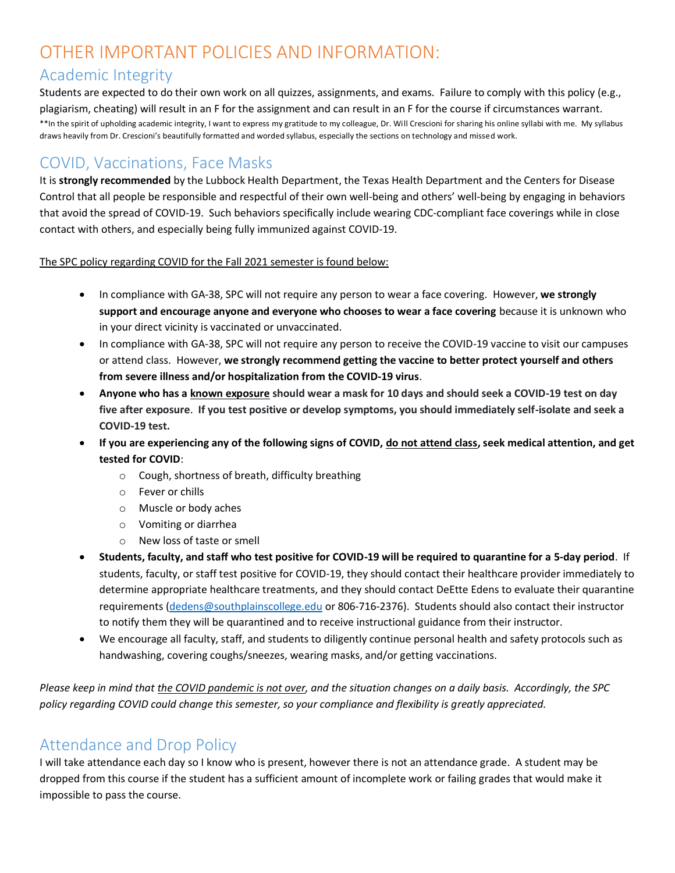## OTHER IMPORTANT POLICIES AND INFORMATION:

### Academic Integrity

Students are expected to do their own work on all quizzes, assignments, and exams. Failure to comply with this policy (e.g., plagiarism, cheating) will result in an F for the assignment and can result in an F for the course if circumstances warrant. \*\*In the spirit of upholding academic integrity, I want to express my gratitude to my colleague, Dr. Will Crescioni for sharing his online syllabi with me. My syllabus draws heavily from Dr. Crescioni's beautifully formatted and worded syllabus, especially the sections on technology and missed work.

## COVID, Vaccinations, Face Masks

It is **strongly recommended** by the Lubbock Health Department, the Texas Health Department and the Centers for Disease Control that all people be responsible and respectful of their own well-being and others' well-being by engaging in behaviors that avoid the spread of COVID-19. Such behaviors specifically include wearing CDC-compliant face coverings while in close contact with others, and especially being fully immunized against COVID-19.

The SPC policy regarding COVID for the Fall 2021 semester is found below:

- In compliance with GA-38, SPC will not require any person to wear a face covering. However, **we strongly support and encourage anyone and everyone who chooses to wear a face covering** because it is unknown who in your direct vicinity is vaccinated or unvaccinated.
- In compliance with GA-38, SPC will not require any person to receive the COVID-19 vaccine to visit our campuses or attend class. However, **we strongly recommend getting the vaccine to better protect yourself and others from severe illness and/or hospitalization from the COVID-19 virus**.
- **Anyone who has a known exposure should wear a mask for 10 days and should seek a COVID-19 test on day five after exposure**. **If you test positive or develop symptoms, you should immediately self-isolate and seek a COVID-19 test.**
- **If you are experiencing any of the following signs of COVID, do not attend class, seek medical attention, and get tested for COVID**:
	- o Cough, shortness of breath, difficulty breathing
	- o Fever or chills
	- o Muscle or body aches
	- o Vomiting or diarrhea
	- o New loss of taste or smell
- **Students, faculty, and staff who test positive for COVID-19 will be required to quarantine for a 5-day period**. If students, faculty, or staff test positive for COVID-19, they should contact their healthcare provider immediately to determine appropriate healthcare treatments, and they should contact DeEtte Edens to evaluate their quarantine requirements [\(dedens@southplainscollege.edu](mailto:dedens@southplainscollege.edu) or 806-716-2376). Students should also contact their instructor to notify them they will be quarantined and to receive instructional guidance from their instructor.
- We encourage all faculty, staff, and students to diligently continue personal health and safety protocols such as handwashing, covering coughs/sneezes, wearing masks, and/or getting vaccinations.

*Please keep in mind that the COVID pandemic is not over, and the situation changes on a daily basis. Accordingly, the SPC policy regarding COVID could change this semester, so your compliance and flexibility is greatly appreciated.*

## Attendance and Drop Policy

I will take attendance each day so I know who is present, however there is not an attendance grade. A student may be dropped from this course if the student has a sufficient amount of incomplete work or failing grades that would make it impossible to pass the course.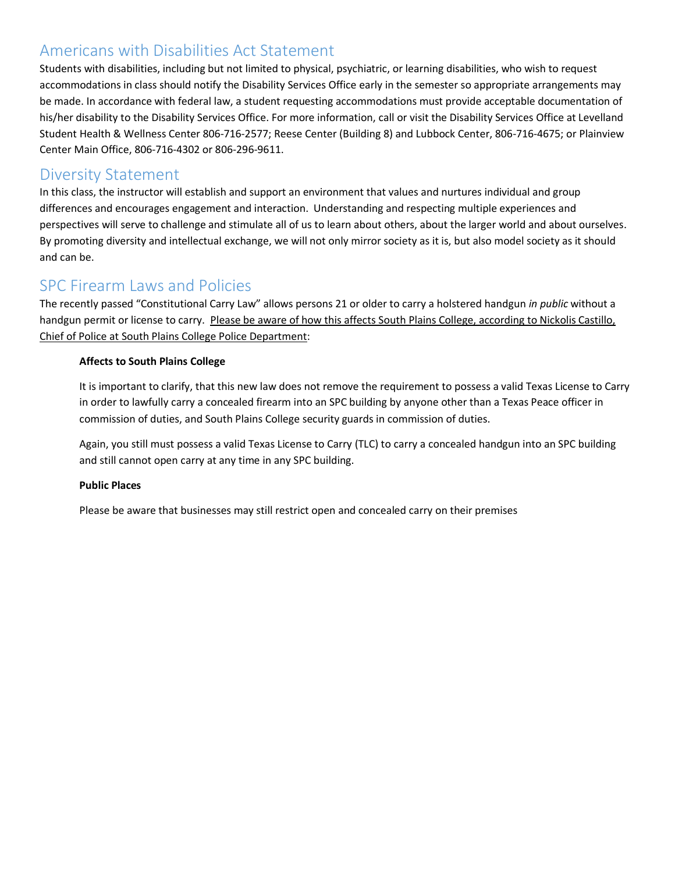### Americans with Disabilities Act Statement

Students with disabilities, including but not limited to physical, psychiatric, or learning disabilities, who wish to request accommodations in class should notify the Disability Services Office early in the semester so appropriate arrangements may be made. In accordance with federal law, a student requesting accommodations must provide acceptable documentation of his/her disability to the Disability Services Office. For more information, call or visit the Disability Services Office at Levelland Student Health & Wellness Center 806-716-2577; Reese Center (Building 8) and Lubbock Center, 806-716-4675; or Plainview Center Main Office, 806-716-4302 or 806-296-9611.

### Diversity Statement

In this class, the instructor will establish and support an environment that values and nurtures individual and group differences and encourages engagement and interaction. Understanding and respecting multiple experiences and perspectives will serve to challenge and stimulate all of us to learn about others, about the larger world and about ourselves. By promoting diversity and intellectual exchange, we will not only mirror society as it is, but also model society as it should and can be.

### SPC Firearm Laws and Policies

The recently passed "Constitutional Carry Law" allows persons 21 or older to carry a holstered handgun *in public* without a handgun permit or license to carry. Please be aware of how this affects South Plains College, according to Nickolis Castillo, Chief of Police at South Plains College Police Department:

### **Affects to South Plains College**

It is important to clarify, that this new law does not remove the requirement to possess a valid Texas License to Carry in order to lawfully carry a concealed firearm into an SPC building by anyone other than a Texas Peace officer in commission of duties, and South Plains College security guards in commission of duties.

Again, you still must possess a valid Texas License to Carry (TLC) to carry a concealed handgun into an SPC building and still cannot open carry at any time in any SPC building.

### **Public Places**

Please be aware that businesses may still restrict open and concealed carry on their premises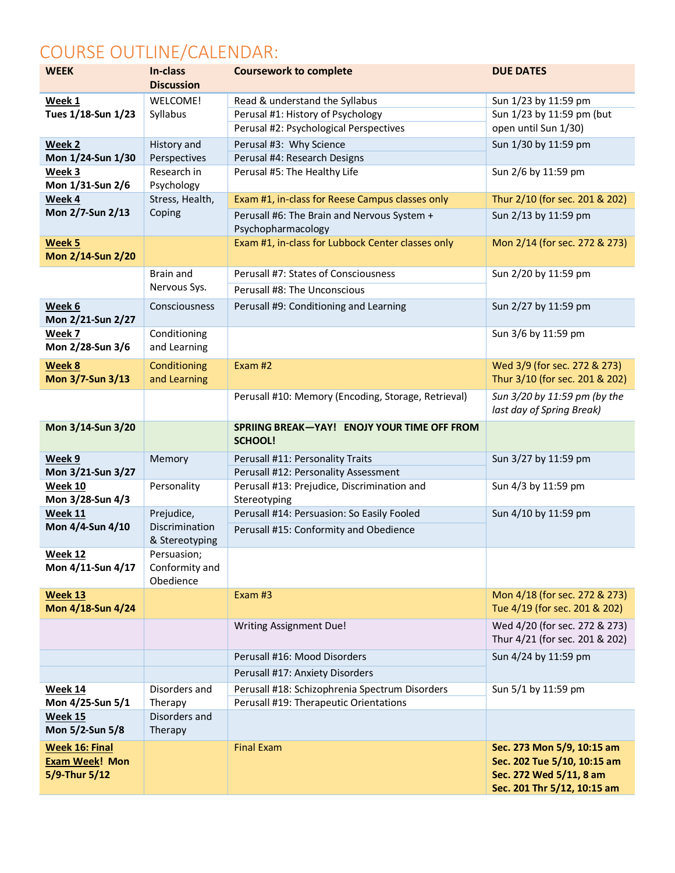# COURSE OUTLINE/CALENDAR:

| <b>WEEK</b>           | In-class<br><b>Discussion</b>                     | <b>Coursework to complete</b>                       | <b>DUE DATES</b>               |  |
|-----------------------|---------------------------------------------------|-----------------------------------------------------|--------------------------------|--|
| Week 1                | WELCOME!                                          | Read & understand the Syllabus                      | Sun 1/23 by 11:59 pm           |  |
| Tues 1/18-Sun 1/23    | Syllabus                                          | Perusal #1: History of Psychology                   | Sun 1/23 by 11:59 pm (but      |  |
|                       |                                                   | Perusal #2: Psychological Perspectives              | open until Sun 1/30)           |  |
| Week 2                | History and                                       | Perusal #3: Why Science                             | Sun 1/30 by 11:59 pm           |  |
| Mon 1/24-Sun 1/30     | Perspectives                                      | Perusal #4: Research Designs                        |                                |  |
| Week 3                | Research in                                       | Perusal #5: The Healthy Life                        | Sun 2/6 by 11:59 pm            |  |
| Mon 1/31-Sun 2/6      | Psychology                                        |                                                     |                                |  |
| Week 4                | Stress, Health,                                   | Exam #1, in-class for Reese Campus classes only     | Thur 2/10 (for sec. 201 & 202) |  |
| Mon 2/7-Sun 2/13      | Coping                                            | Perusall #6: The Brain and Nervous System +         | Sun 2/13 by 11:59 pm           |  |
|                       |                                                   | Psychopharmacology                                  |                                |  |
| Week 5                |                                                   | Exam #1, in-class for Lubbock Center classes only   | Mon 2/14 (for sec. 272 & 273)  |  |
| Mon 2/14-Sun 2/20     |                                                   |                                                     |                                |  |
|                       | <b>Brain and</b>                                  | Perusall #7: States of Consciousness                | Sun 2/20 by 11:59 pm           |  |
|                       | Nervous Sys.                                      | Perusall #8: The Unconscious                        |                                |  |
| Week 6                | Consciousness                                     | Perusall #9: Conditioning and Learning              | Sun 2/27 by 11:59 pm           |  |
| Mon 2/21-Sun 2/27     |                                                   |                                                     |                                |  |
| Week 7                | Conditioning                                      |                                                     | Sun 3/6 by 11:59 pm            |  |
| Mon 2/28-Sun 3/6      | and Learning                                      |                                                     |                                |  |
| Week 8                | Conditioning                                      | Exam $#2$                                           | Wed 3/9 (for sec. 272 & 273)   |  |
| Mon 3/7-Sun 3/13      | and Learning                                      |                                                     | Thur 3/10 (for sec. 201 & 202) |  |
|                       |                                                   | Perusall #10: Memory (Encoding, Storage, Retrieval) | Sun 3/20 by 11:59 pm (by the   |  |
|                       |                                                   |                                                     | last day of Spring Break)      |  |
| Mon 3/14-Sun 3/20     |                                                   | SPRIING BREAK-YAY! ENOJY YOUR TIME OFF FROM         |                                |  |
|                       |                                                   | SCHOOL!                                             |                                |  |
| Week 9                | Memory                                            | Perusall #11: Personality Traits                    | Sun 3/27 by 11:59 pm           |  |
| Mon 3/21-Sun 3/27     |                                                   | Perusall #12: Personality Assessment                |                                |  |
| Week 10               | Personality                                       | Perusall #13: Prejudice, Discrimination and         | Sun 4/3 by 11:59 pm            |  |
| Mon 3/28-Sun 4/3      |                                                   | Stereotyping                                        |                                |  |
| <b>Week 11</b>        | Prejudice,                                        | Perusall #14: Persuasion: So Easily Fooled          | Sun 4/10 by 11:59 pm           |  |
| Mon 4/4-Sun 4/10      | Discrimination<br>& Stereotyping                  | Perusall #15: Conformity and Obedience              |                                |  |
| Week 12               | Persuasion;                                       |                                                     |                                |  |
| Mon 4/11-Sun 4/17     | Conformity and                                    |                                                     |                                |  |
|                       | Obedience                                         |                                                     |                                |  |
| <b>Week 13</b>        |                                                   | Exam #3                                             | Mon 4/18 (for sec. 272 & 273)  |  |
| Mon 4/18-Sun 4/24     |                                                   |                                                     | Tue 4/19 (for sec. 201 & 202)  |  |
|                       |                                                   | <b>Writing Assignment Due!</b>                      | Wed 4/20 (for sec. 272 & 273)  |  |
|                       |                                                   |                                                     | Thur 4/21 (for sec. 201 & 202) |  |
|                       |                                                   | Perusall #16: Mood Disorders                        | Sun 4/24 by 11:59 pm           |  |
|                       |                                                   | Perusall #17: Anxiety Disorders                     |                                |  |
| <b>Week 14</b>        | Disorders and                                     | Perusall #18: Schizophrenia Spectrum Disorders      | Sun 5/1 by 11:59 pm            |  |
| Mon 4/25-Sun 5/1      | Perusall #19: Therapeutic Orientations<br>Therapy |                                                     |                                |  |
| Week 15               | Disorders and                                     |                                                     |                                |  |
| Mon 5/2-Sun 5/8       | Therapy                                           |                                                     |                                |  |
| <b>Week 16: Final</b> |                                                   | <b>Final Exam</b>                                   | Sec. 273 Mon 5/9, 10:15 am     |  |
| <b>Exam Week! Mon</b> |                                                   |                                                     | Sec. 202 Tue 5/10, 10:15 am    |  |
| 5/9-Thur 5/12         |                                                   |                                                     | Sec. 272 Wed 5/11, 8 am        |  |
|                       |                                                   |                                                     | Sec. 201 Thr 5/12, 10:15 am    |  |